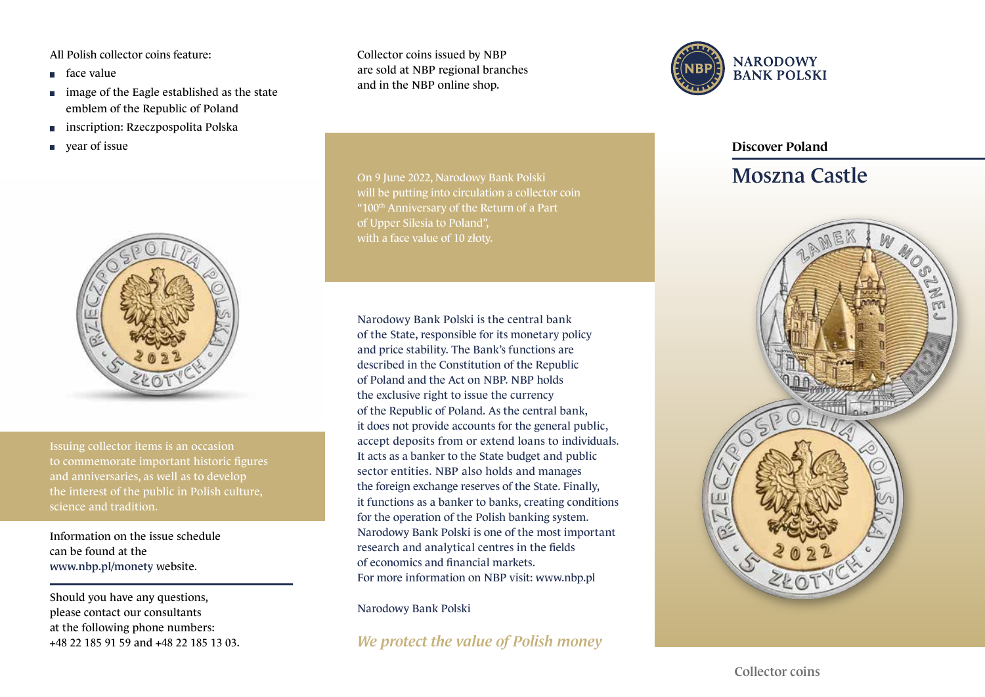All Polish collector coins feature:

- face value
- **image of the Eagle established as the state** emblem of the Republic of Poland
- **inscription: Rzeczpospolita Polska**
- vear of issue



Issuing collector items is an occasion to commemorate important historic figures and anniversaries, as well as to develop science and tradition.

Information on the issue schedule can be found at the www.nbp.pl/monety website.

Should you have any questions, please contact our consultants at the following phone numbers: +48 22 185 91 59 and +48 22 185 13 03. Collector coins issued by NBP are sold at NBP regional branches and in the NBP online shop.

On 9 June 2022, Narodowy Bank Polski will be putting into circulation a collector coin " $100<sup>th</sup>$  Anniversary of the Return of a Part of Upper Silesia to Poland", with a face value of 10 złoty.

Narodowy Bank Polski is the central bank of the State, responsible for its monetary policy and price stability. The Bank's functions are described in the Constitution of the Republic of Poland and the Act on NBP. NBP holds the exclusive right to issue the currency of the Republic of Poland. As the central bank, it does not provide accounts for the general public, accept deposits from or extend loans to individuals. It acts as a banker to the State budget and public sector entities. NBP also holds and manages the foreign exchange reserves of the State. Finally, it functions as a banker to banks, creating conditions for the operation of the Polish banking system. Narodowy Bank Polski is one of the most important research and analytical centres in the fields of economics and financial markets. For more information on NBP visit: www.nbp.pl

Narodowy Bank Polski

*We protect the value of Polish money*



## Discover Poland

## Moszna Castle